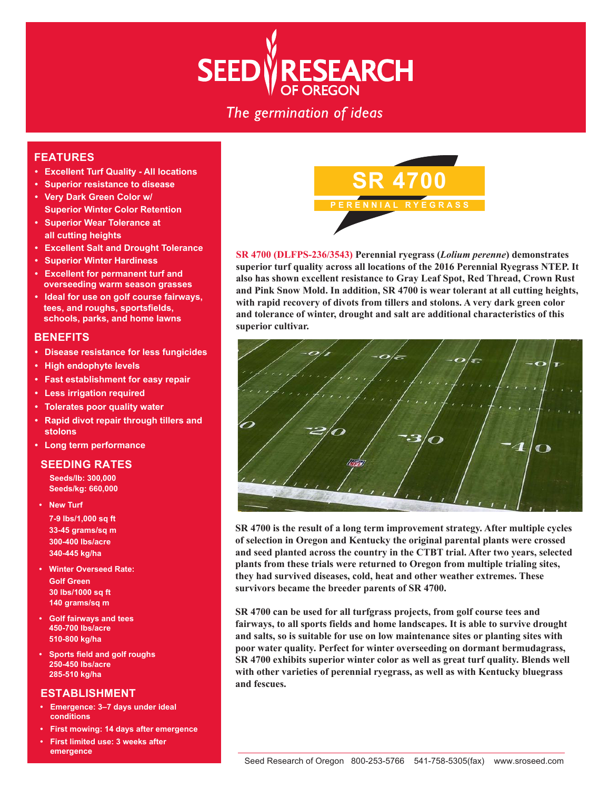# **RESEARCH SEED** OF OREGON

The germination of ideas

## **FEATURES**

- **Excellent Turf Quality All locations**
- **Superior resistance to disease**
- **Very Dark Green Color w/ Superior Winter Color Retention**
- **Superior Wear Tolerance at all cutting heights**
- **Excellent Salt and Drought Tolerance**
- **Superior Winter Hardiness**
- **Excellent for permanent turf and overseeding warm season grasses**
- **Ideal for use on golf course fairways, tees, and roughs, sportsfields, schools, parks, and home lawns**

#### **BENEFITS**

- **Disease resistance for less fungicides**
- **High endophyte levels**
- **Fast establishment for easy repair**
- **Less irrigation required**
- **Tolerates poor quality water**
- **Rapid divot repair through tillers and stolons**
- **Long term performance**

#### **SEEDING RATES**

**Seeds/lb: 300,000 Seeds/kg: 660,000**

- **New Turf 7-9 lbs/1,000 sq ft 33-45 grams/sq m 300-400 lbs/acre 340-445 kg/ha**
- **Winter Overseed Rate: Golf Green 30 lbs/1000 sq ft 140 grams/sq m**
- **Golf fairways and tees 450-700 lbs/acre 510-800 kg/ha**
- **Sports field and golf roughs 250-450 lbs/acre 285-510 kg/ha**

#### **ESTABLISHMENT**

- **Emergence: 3–7 days under ideal conditions**
- **First mowing: 14 days after emergence**
- **First limited use: 3 weeks after emergence**



**SR 4700 (DLFPS-236/3543) Perennial ryegrass (***Lolium perenne***) demonstrates superior turf quality across all locations of the 2016 Perennial Ryegrass NTEP. It also has shown excellent resistance to Gray Leaf Spot, Red Thread, Crown Rust and Pink Snow Mold. In addition, SR 4700 is wear tolerant at all cutting heights, with rapid recovery of divots from tillers and stolons. A very dark green color and tolerance of winter, drought and salt are additional characteristics of this superior cultivar.**



**SR 4700 is the result of a long term improvement strategy. After multiple cycles of selection in Oregon and Kentucky the original parental plants were crossed and seed planted across the country in the CTBT trial. After two years, selected plants from these trials were returned to Oregon from multiple trialing sites, they had survived diseases, cold, heat and other weather extremes. These survivors became the breeder parents of SR 4700.**

**SR 4700 can be used for all turfgrass projects, from golf course tees and fairways, to all sports fields and home landscapes. It is able to survive drought and salts, so is suitable for use on low maintenance sites or planting sites with poor water quality. Perfect for winter overseeding on dormant bermudagrass, SR 4700 exhibits superior winter color as well as great turf quality. Blends well with other varieties of perennial ryegrass, as well as with Kentucky bluegrass and fescues.**